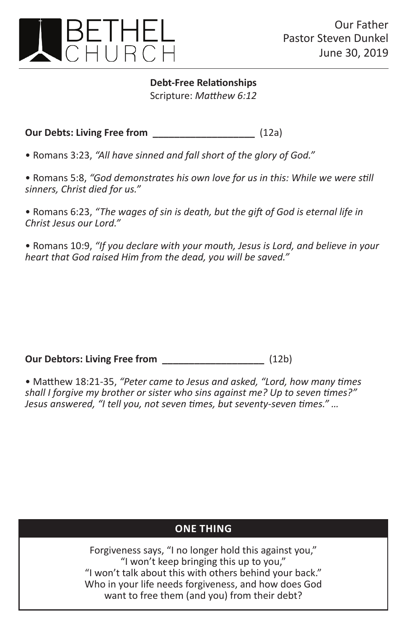

**Debt-Free Relationships** Scripture: *Matthew 6:12*

**Our Debts: Living Free from \_\_\_\_\_\_\_\_\_\_\_\_\_\_\_\_\_\_\_** (12a)

• Romans 3:23, *"All have sinned and fall short of the glory of God."* 

• Romans 5:8, *"God demonstrates his own love for us in this: While we were still sinners, Christ died for us."*

• Romans 6:23, *"The wages of sin is death, but the gift of God is eternal life in Christ Jesus our Lord."*

• Romans 10:9, *"If you declare with your mouth, Jesus is Lord, and believe in your heart that God raised Him from the dead, you will be saved."*

**Our Debtors: Living Free from \_\_\_\_\_\_\_\_\_\_\_\_\_\_\_\_\_\_\_** (12b)

• Matthew 18:21-35, *"Peter came to Jesus and asked, "Lord, how many times shall I forgive my brother or sister who sins against me? Up to seven times?" Jesus answered, "I tell you, not seven times, but seventy-seven times." …*

## **one thing one thing**

Forgiveness says, "I no longer hold this against you," "I won't keep bringing this up to you," "I won't talk about this with others behind your back." Who in your life needs forgiveness, and how does God want to free them (and you) from their debt?